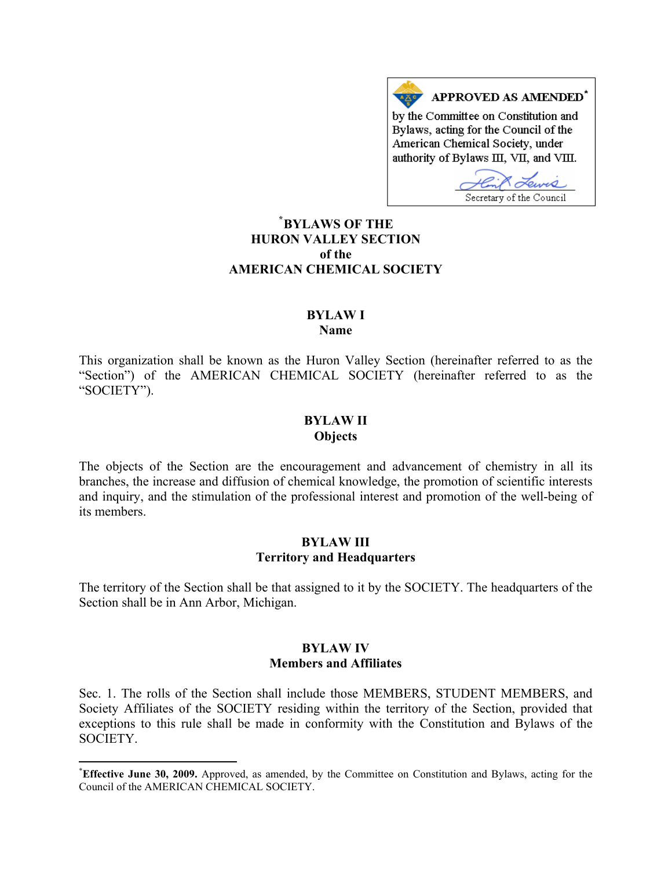#### APPROVED AS AMENDED\*  $A \overline{\Delta}$

by the Committee on Constitution and Bylaws, acting for the Council of the American Chemical Society, under authority of Bylaws III, VII, and VIII.

Lewis Secretary of the Council

# **[\\*](#page-0-0) BYLAWS OF THE HURON VALLEY SECTION of the AMERICAN CHEMICAL SOCIETY**

#### **BYLAW I Name**

This organization shall be known as the Huron Valley Section (hereinafter referred to as the "Section") of the AMERICAN CHEMICAL SOCIETY (hereinafter referred to as the "SOCIETY").

#### **BYLAW II Objects**

The objects of the Section are the encouragement and advancement of chemistry in all its branches, the increase and diffusion of chemical knowledge, the promotion of scientific interests and inquiry, and the stimulation of the professional interest and promotion of the well-being of its members.

#### **BYLAW III Territory and Headquarters**

The territory of the Section shall be that assigned to it by the SOCIETY. The headquarters of the Section shall be in Ann Arbor, Michigan.

#### **BYLAW IV Members and Affiliates**

Sec. 1. The rolls of the Section shall include those MEMBERS, STUDENT MEMBERS, and Society Affiliates of the SOCIETY residing within the territory of the Section, provided that exceptions to this rule shall be made in conformity with the Constitution and Bylaws of the **SOCIETY** 

 $\overline{a}$ 

<span id="page-0-0"></span><sup>\*</sup> **Effective June 30, 2009.** Approved, as amended, by the Committee on Constitution and Bylaws, acting for the Council of the AMERICAN CHEMICAL SOCIETY.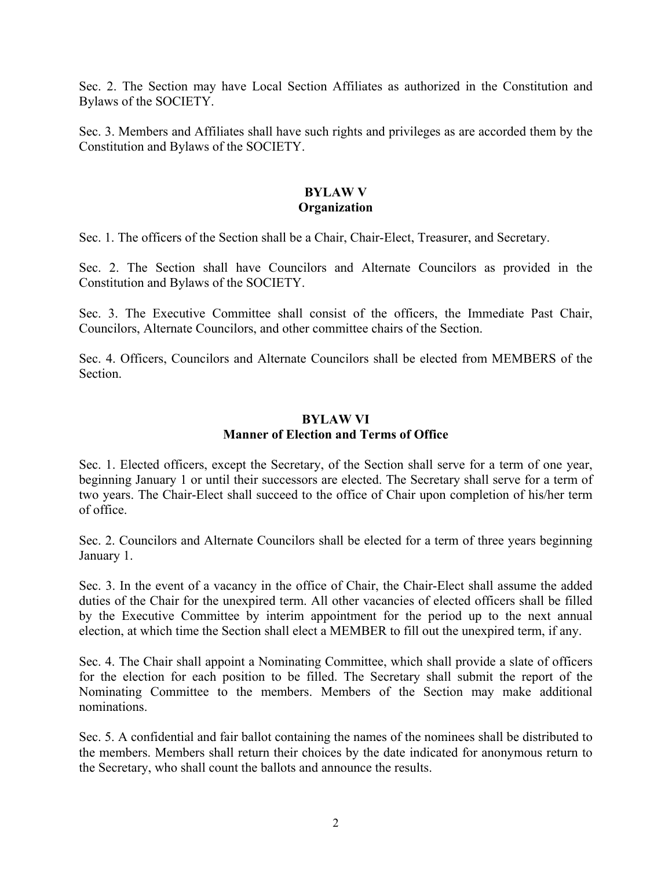Sec. 2. The Section may have Local Section Affiliates as authorized in the Constitution and Bylaws of the SOCIETY.

Sec. 3. Members and Affiliates shall have such rights and privileges as are accorded them by the Constitution and Bylaws of the SOCIETY.

#### **BYLAW V Organization**

Sec. 1. The officers of the Section shall be a Chair, Chair-Elect, Treasurer, and Secretary.

Sec. 2. The Section shall have Councilors and Alternate Councilors as provided in the Constitution and Bylaws of the SOCIETY.

Sec. 3. The Executive Committee shall consist of the officers, the Immediate Past Chair, Councilors, Alternate Councilors, and other committee chairs of the Section.

Sec. 4. Officers, Councilors and Alternate Councilors shall be elected from MEMBERS of the Section.

# **BYLAW VI Manner of Election and Terms of Office**

Sec. 1. Elected officers, except the Secretary, of the Section shall serve for a term of one year, beginning January 1 or until their successors are elected. The Secretary shall serve for a term of two years. The Chair-Elect shall succeed to the office of Chair upon completion of his/her term of office.

Sec. 2. Councilors and Alternate Councilors shall be elected for a term of three years beginning January 1.

Sec. 3. In the event of a vacancy in the office of Chair, the Chair-Elect shall assume the added duties of the Chair for the unexpired term. All other vacancies of elected officers shall be filled by the Executive Committee by interim appointment for the period up to the next annual election, at which time the Section shall elect a MEMBER to fill out the unexpired term, if any.

Sec. 4. The Chair shall appoint a Nominating Committee, which shall provide a slate of officers for the election for each position to be filled. The Secretary shall submit the report of the Nominating Committee to the members. Members of the Section may make additional nominations.

Sec. 5. A confidential and fair ballot containing the names of the nominees shall be distributed to the members. Members shall return their choices by the date indicated for anonymous return to the Secretary, who shall count the ballots and announce the results.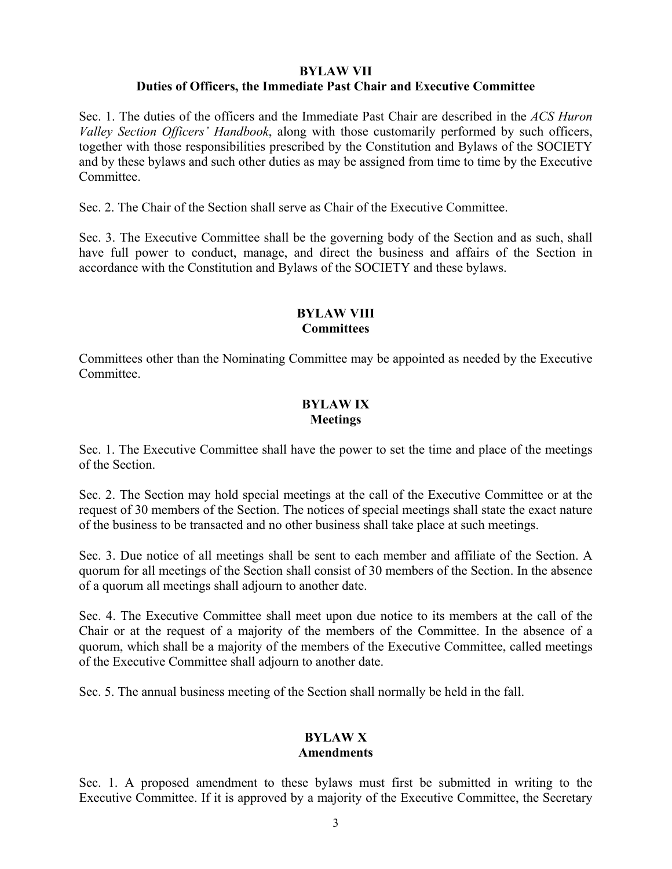### **BYLAW VII Duties of Officers, the Immediate Past Chair and Executive Committee**

Sec. 1. The duties of the officers and the Immediate Past Chair are described in the *ACS Huron Valley Section Officers' Handbook*, along with those customarily performed by such officers, together with those responsibilities prescribed by the Constitution and Bylaws of the SOCIETY and by these bylaws and such other duties as may be assigned from time to time by the Executive Committee.

Sec. 2. The Chair of the Section shall serve as Chair of the Executive Committee.

Sec. 3. The Executive Committee shall be the governing body of the Section and as such, shall have full power to conduct, manage, and direct the business and affairs of the Section in accordance with the Constitution and Bylaws of the SOCIETY and these bylaws.

# **BYLAW VIII Committees**

Committees other than the Nominating Committee may be appointed as needed by the Executive Committee.

# **BYLAW IX Meetings**

Sec. 1. The Executive Committee shall have the power to set the time and place of the meetings of the Section.

Sec. 2. The Section may hold special meetings at the call of the Executive Committee or at the request of 30 members of the Section. The notices of special meetings shall state the exact nature of the business to be transacted and no other business shall take place at such meetings.

Sec. 3. Due notice of all meetings shall be sent to each member and affiliate of the Section. A quorum for all meetings of the Section shall consist of 30 members of the Section. In the absence of a quorum all meetings shall adjourn to another date.

Sec. 4. The Executive Committee shall meet upon due notice to its members at the call of the Chair or at the request of a majority of the members of the Committee. In the absence of a quorum, which shall be a majority of the members of the Executive Committee, called meetings of the Executive Committee shall adjourn to another date.

Sec. 5. The annual business meeting of the Section shall normally be held in the fall.

# **BYLAW X**

# **Amendments**

Sec. 1. A proposed amendment to these bylaws must first be submitted in writing to the Executive Committee. If it is approved by a majority of the Executive Committee, the Secretary